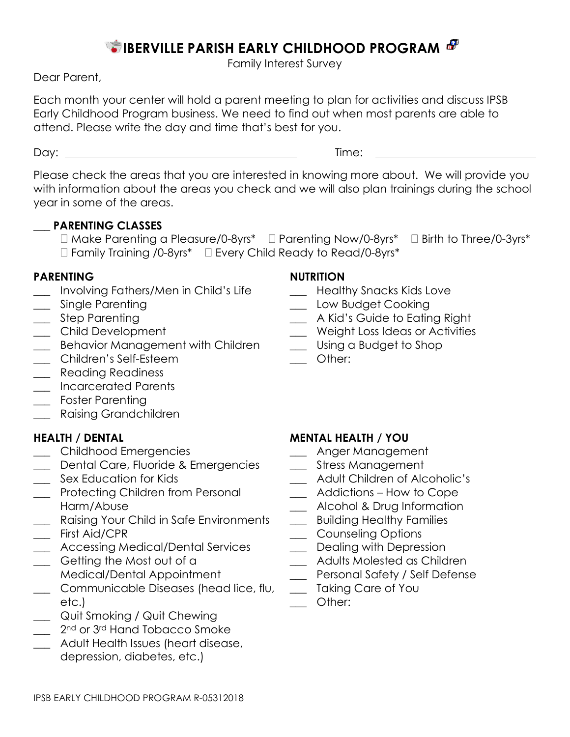# **IBERVILLE PARISH EARLY CHILDHOOD PROGRAM**

Family Interest Survey

Dear Parent,

Each month your center will hold a parent meeting to plan for activities and discuss IPSB Early Childhood Program business. We need to find out when most parents are able to attend. Please write the day and time that's best for you.

Day: Time:

Please check the areas that you are interested in knowing more about. We will provide you with information about the areas you check and we will also plan trainings during the school year in some of the areas.

## **\_\_\_ PARENTING CLASSES**

 $\Box$  Make Parenting a Pleasure/0-8yrs\*  $\Box$  Parenting Now/0-8yrs\*  $\Box$  Birth to Three/0-3yrs\*  $\Box$  Family Training /0-8yrs\*  $\Box$  Every Child Ready to Read/0-8yrs\*

### **PARENTING NUTRITION**

- \_\_\_ Involving Fathers/Men in Child's Life \_\_\_ Healthy Snacks Kids Love
- 
- 
- 
- \_\_\_ Behavior Management with Children \_\_\_ Using a Budget to Shop
- \_\_\_ Children's Self-Esteem \_\_\_ Other:
- \_\_\_ Reading Readiness
- \_\_\_ Incarcerated Parents
- \_\_\_ Foster Parenting
- \_\_\_ Raising Grandchildren

- \_\_\_ Childhood Emergencies \_\_\_ Anger Management
- \_\_\_ Dental Care, Fluoride & Emergencies \_\_\_ Stress Management
- 
- \_\_\_ Protecting Children from Personal Harm/Abuse
- \_\_\_ Raising Your Child in Safe Environments \_\_\_\_\_ Building Healthy Families<br>\_\_\_ First Aid/CPR Counseling Options
- \_\_\_ Accessing Medical/Dental Services \_\_\_ Dealing with Depression
- \_\_\_ Getting the Most out of a Medical/Dental Appointment
- \_\_\_ Communicable Diseases (head lice, flu, etc.)
- \_\_\_ Quit Smoking / Quit Chewing
- 2<sup>nd</sup> or 3<sup>rd</sup> Hand Tobacco Smoke
- \_\_\_ Adult Health Issues (heart disease, depression, diabetes, etc.)

- 
- \_\_\_ Single Parenting \_\_\_ Low Budget Cooking
	- \_\_ A Kid's Guide to Eating Right
- \_\_\_ Child Development \_\_\_ Weight Loss Ideas or Activities
	-
	-

## **HEALTH / DENTAL MENTAL HEALTH / YOU**

- 
- 
- \_\_\_ Sex Education for Kids \_\_\_ Adult Children of Alcoholic's
	- \_\_\_ Addictions How to Cope
	- \_\_\_ Alcohol & Drug Information
	-
	- \_\_ Counseling Options
	-
	- \_\_\_ Adults Molested as Children
	- \_\_\_ Personal Safety / Self Defense
	- \_\_\_ Taking Care of You
	- \_\_\_ Other: